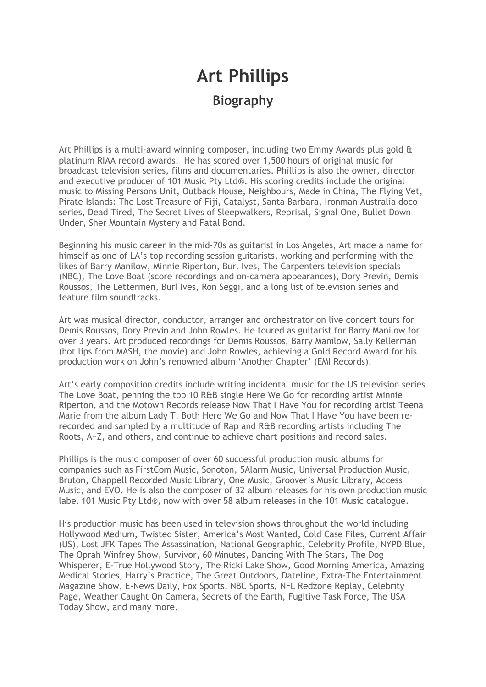# **Art Phillips Biography**

Art Phillips is a multi-award winning composer, including two Emmy Awards plus gold & platinum RIAA record awards. He has scored over 1,500 hours of original music for broadcast television series, films and documentaries. Phillips is also the owner, director and executive producer of 101 Music Pty Ltd®. His scoring credits include the original music to Missing Persons Unit, Outback House, Neighbours, Made in China, The Flying Vet, Pirate Islands: The Lost Treasure of Fiji, Catalyst, Santa Barbara, Ironman Australia doco series, Dead Tired, The Secret Lives of Sleepwalkers, Reprisal, Signal One, Bullet Down Under, Sher Mountain Mystery and Fatal Bond.

Beginning his music career in the mid-70s as guitarist in Los Angeles, Art made a name for himself as one of LA's top recording session guitarists, working and performing with the likes of Barry Manilow, Minnie Riperton, Burl Ives, The Carpenters television specials (NBC), The Love Boat (score recordings and on-camera appearances), Dory Previn, Demis Roussos, The Lettermen, Burl Ives, Ron Seggi, and a long list of television series and feature film soundtracks.

Art was musical director, conductor, arranger and orchestrator on live concert tours for Demis Roussos, Dory Previn and John Rowles. He toured as guitarist for Barry Manilow for over 3 years. Art produced recordings for Demis Roussos, Barry Manilow, Sally Kellerman (hot lips from MASH, the movie) and John Rowles, achieving a Gold Record Award for his production work on John's renowned album 'Another Chapter' (EMI Records).

Art's early composition credits include writing incidental music for the US television series The Love Boat, penning the top 10 R&B single Here We Go for recording artist Minnie Riperton, and the Motown Records release Now That I Have You for recording artist Teena Marie from the album Lady T. Both Here We Go and Now That I Have You have been rerecorded and sampled by a multitude of Rap and R&B recording artists including The Roots, A~Z, and others, and continue to achieve chart positions and record sales.

Phillips is the music composer of over 60 successful production music albums for companies such as FirstCom Music, Sonoton, 5Alarm Music, Universal Production Music, Bruton, Chappell Recorded Music Library, One Music, Groover's Music Library, Access Music, and EVO. He is also the composer of 32 album releases for his own production music label 101 Music Pty Ltd®, now with over 58 album releases in the 101 Music catalogue.

His production music has been used in television shows throughout the world including Hollywood Medium, Twisted Sister, America's Most Wanted, Cold Case Files, Current Affair (US), Lost JFK Tapes The Assassination, National Geographic, Celebrity Profile, NYPD Blue, The Oprah Winfrey Show, Survivor, 60 Minutes, Dancing With The Stars, The Dog Whisperer, E-True Hollywood Story, The Ricki Lake Show, Good Morning America, Amazing Medical Stories, Harry's Practice, The Great Outdoors, Dateline, Extra-The Entertainment Magazine Show, E-News Daily, Fox Sports, NBC Sports, NFL Redzone Replay, Celebrity Page, Weather Caught On Camera, Secrets of the Earth, Fugitive Task Force, The USA Today Show, and many more.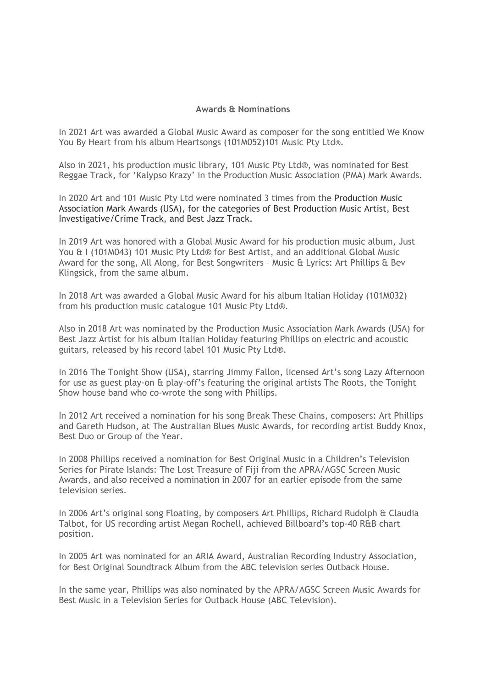## **Awards & Nominations**

In 2021 Art was awarded a Global Music Award as composer for the song entitled We Know You By Heart from his album Heartsongs (101M052)101 Music Pty Ltd®.

Also in 2021, his production music library, 101 Music Pty Ltd®, was nominated for Best Reggae Track, for 'Kalypso Krazy' in the Production Music Association (PMA) Mark Awards.

In 2020 Art and 101 Music Pty Ltd were nominated 3 times from the Production Music Association Mark Awards (USA), for the categories of Best Production Music Artist, Best Investigative/Crime Track, and Best Jazz Track.

In 2019 Art was honored with a Global Music Award for his production music album, Just You & I (101M043) 101 Music Pty Ltd® for Best Artist, and an additional Global Music Award for the song, All Along, for Best Songwriters – Music & Lyrics: Art Phillips & Bev Klingsick, from the same album.

In 2018 Art was awarded a Global Music Award for his album Italian Holiday (101M032) from his production music catalogue 101 Music Pty Ltd®.

Also in 2018 Art was nominated by the Production Music Association Mark Awards (USA) for Best Jazz Artist for his album Italian Holiday featuring Phillips on electric and acoustic guitars, released by his record label 101 Music Pty Ltd®.

In 2016 The Tonight Show (USA), starring Jimmy Fallon, licensed Art's song Lazy Afternoon for use as guest play-on & play-off's featuring the original artists The Roots, the Tonight Show house band who co-wrote the song with Phillips.

In 2012 Art received a nomination for his song Break These Chains, composers: Art Phillips and Gareth Hudson, at The Australian Blues Music Awards, for recording artist Buddy Knox, Best Duo or Group of the Year.

In 2008 Phillips received a nomination for Best Original Music in a Children's Television Series for Pirate Islands: The Lost Treasure of Fiji from the APRA/AGSC Screen Music Awards, and also received a nomination in 2007 for an earlier episode from the same television series.

In 2006 Art's original song Floating, by composers Art Phillips, Richard Rudolph & Claudia Talbot, for US recording artist Megan Rochell, achieved Billboard's top-40 R&B chart position.

In 2005 Art was nominated for an ARIA Award, Australian Recording Industry Association, for Best Original Soundtrack Album from the ABC television series Outback House.

In the same year, Phillips was also nominated by the APRA/AGSC Screen Music Awards for Best Music in a Television Series for Outback House (ABC Television).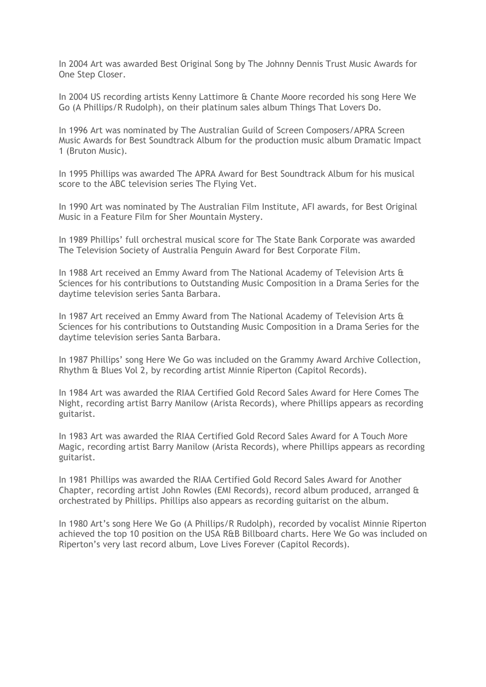In 2004 Art was awarded Best Original Song by The Johnny Dennis Trust Music Awards for One Step Closer.

In 2004 US recording artists Kenny Lattimore & Chante Moore recorded his song Here We Go (A Phillips/R Rudolph), on their platinum sales album Things That Lovers Do.

In 1996 Art was nominated by The Australian Guild of Screen Composers/APRA Screen Music Awards for Best Soundtrack Album for the production music album Dramatic Impact 1 (Bruton Music).

In 1995 Phillips was awarded The APRA Award for Best Soundtrack Album for his musical score to the ABC television series The Flying Vet.

In 1990 Art was nominated by The Australian Film Institute, AFI awards, for Best Original Music in a Feature Film for Sher Mountain Mystery.

In 1989 Phillips' full orchestral musical score for The State Bank Corporate was awarded The Television Society of Australia Penguin Award for Best Corporate Film.

In 1988 Art received an Emmy Award from The National Academy of Television Arts & Sciences for his contributions to Outstanding Music Composition in a Drama Series for the daytime television series Santa Barbara.

In 1987 Art received an Emmy Award from The National Academy of Television Arts & Sciences for his contributions to Outstanding Music Composition in a Drama Series for the daytime television series Santa Barbara.

In 1987 Phillips' song Here We Go was included on the Grammy Award Archive Collection, Rhythm & Blues Vol 2, by recording artist Minnie Riperton (Capitol Records).

In 1984 Art was awarded the RIAA Certified Gold Record Sales Award for Here Comes The Night, recording artist Barry Manilow (Arista Records), where Phillips appears as recording guitarist.

In 1983 Art was awarded the RIAA Certified Gold Record Sales Award for A Touch More Magic, recording artist Barry Manilow (Arista Records), where Phillips appears as recording guitarist.

In 1981 Phillips was awarded the RIAA Certified Gold Record Sales Award for Another Chapter, recording artist John Rowles (EMI Records), record album produced, arranged & orchestrated by Phillips. Phillips also appears as recording guitarist on the album.

In 1980 Art's song Here We Go (A Phillips/R Rudolph), recorded by vocalist Minnie Riperton achieved the top 10 position on the USA R&B Billboard charts. Here We Go was included on Riperton's very last record album, Love Lives Forever (Capitol Records).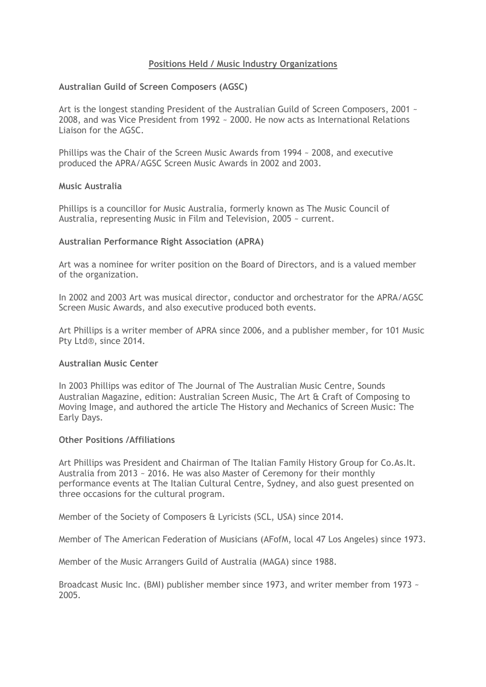## **Positions Held / Music Industry Organizations**

## **Australian Guild of Screen Composers (AGSC)**

Art is the longest standing President of the Australian Guild of Screen Composers, 2001 ~ 2008, and was Vice President from 1992 ~ 2000. He now acts as International Relations Liaison for the AGSC.

Phillips was the Chair of the Screen Music Awards from 1994 ~ 2008, and executive produced the APRA/AGSC Screen Music Awards in 2002 and 2003.

### **Music Australia**

Phillips is a councillor for Music Australia, formerly known as The Music Council of Australia, representing Music in Film and Television, 2005 ~ current.

## **Australian Performance Right Association (APRA)**

Art was a nominee for writer position on the Board of Directors, and is a valued member of the organization.

In 2002 and 2003 Art was musical director, conductor and orchestrator for the APRA/AGSC Screen Music Awards, and also executive produced both events.

Art Phillips is a writer member of APRA since 2006, and a publisher member, for 101 Music Pty Ltd®, since 2014.

### **Australian Music Center**

In 2003 Phillips was editor of The Journal of The Australian Music Centre, Sounds Australian Magazine, edition: Australian Screen Music, The Art & Craft of Composing to Moving Image, and authored the article The History and Mechanics of Screen Music: The Early Days.

### **Other Positions /Affiliations**

Art Phillips was President and Chairman of The Italian Family History Group for Co.As.It. Australia from 2013 ~ 2016. He was also Master of Ceremony for their monthly performance events at The Italian Cultural Centre, Sydney, and also guest presented on three occasions for the cultural program.

Member of the Society of Composers & Lyricists (SCL, USA) since 2014.

Member of The American Federation of Musicians (AFofM, local 47 Los Angeles) since 1973.

Member of the Music Arrangers Guild of Australia (MAGA) since 1988.

Broadcast Music Inc. (BMI) publisher member since 1973, and writer member from 1973 ~ 2005.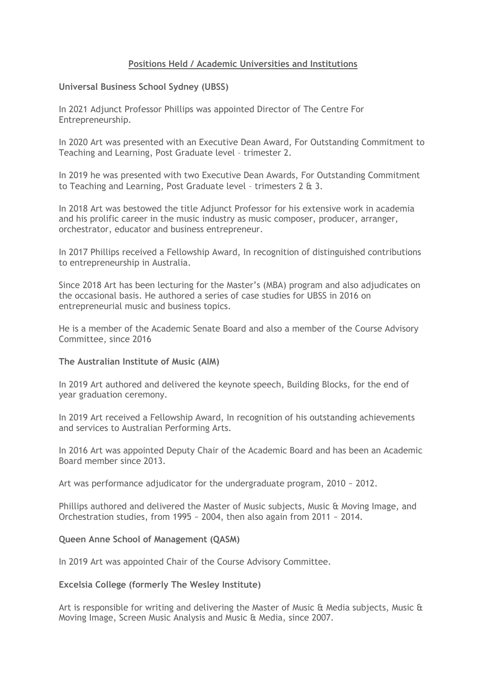# **Positions Held / Academic Universities and Institutions**

## **Universal Business School Sydney (UBSS)**

In 2021 Adjunct Professor Phillips was appointed Director of The Centre For Entrepreneurship.

In 2020 Art was presented with an Executive Dean Award, For Outstanding Commitment to Teaching and Learning, Post Graduate level – trimester 2.

In 2019 he was presented with two Executive Dean Awards, For Outstanding Commitment to Teaching and Learning, Post Graduate level – trimesters 2 & 3.

In 2018 Art was bestowed the title Adjunct Professor for his extensive work in academia and his prolific career in the music industry as music composer, producer, arranger, orchestrator, educator and business entrepreneur.

In 2017 Phillips received a Fellowship Award, In recognition of distinguished contributions to entrepreneurship in Australia.

Since 2018 Art has been lecturing for the Master's (MBA) program and also adjudicates on the occasional basis. He authored a series of case studies for UBSS in 2016 on entrepreneurial music and business topics.

He is a member of the Academic Senate Board and also a member of the Course Advisory Committee, since 2016

### **The Australian Institute of Music (AIM)**

In 2019 Art authored and delivered the keynote speech, Building Blocks, for the end of year graduation ceremony.

In 2019 Art received a Fellowship Award, In recognition of his outstanding achievements and services to Australian Performing Arts.

In 2016 Art was appointed Deputy Chair of the Academic Board and has been an Academic Board member since 2013.

Art was performance adjudicator for the undergraduate program, 2010 ~ 2012.

Phillips authored and delivered the Master of Music subjects, Music & Moving Image, and Orchestration studies, from 1995 ~ 2004, then also again from 2011 ~ 2014.

### **Queen Anne School of Management (QASM)**

In 2019 Art was appointed Chair of the Course Advisory Committee.

## **Excelsia College (formerly The Wesley Institute)**

Art is responsible for writing and delivering the Master of Music & Media subjects, Music & Moving Image, Screen Music Analysis and Music & Media, since 2007.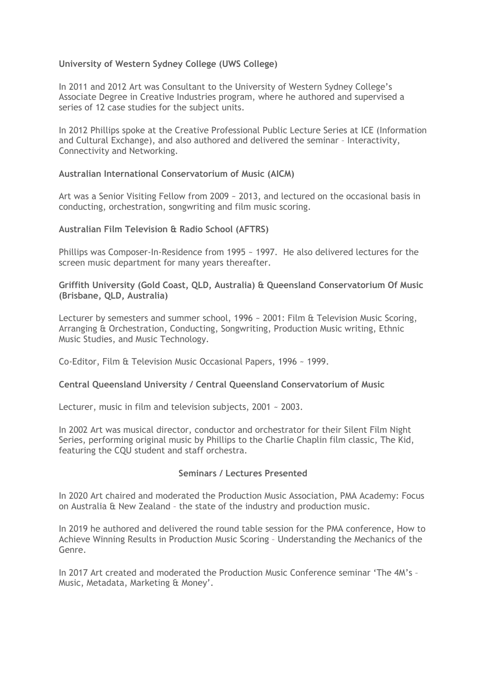# **University of Western Sydney College (UWS College)**

In 2011 and 2012 Art was Consultant to the University of Western Sydney College's Associate Degree in Creative Industries program, where he authored and supervised a series of 12 case studies for the subject units.

In 2012 Phillips spoke at the Creative Professional Public Lecture Series at ICE (Information and Cultural Exchange), and also authored and delivered the seminar – Interactivity, Connectivity and Networking.

# **Australian International Conservatorium of Music (AICM)**

Art was a Senior Visiting Fellow from 2009 ~ 2013, and lectured on the occasional basis in conducting, orchestration, songwriting and film music scoring.

# **Australian Film Television & Radio School (AFTRS)**

Phillips was Composer-In-Residence from 1995 ~ 1997. He also delivered lectures for the screen music department for many years thereafter.

# **Griffith University (Gold Coast, QLD, Australia) & Queensland Conservatorium Of Music (Brisbane, QLD, Australia)**

Lecturer by semesters and summer school, 1996 ~ 2001: Film & Television Music Scoring, Arranging & Orchestration, Conducting, Songwriting, Production Music writing, Ethnic Music Studies, and Music Technology.

Co-Editor, Film & Television Music Occasional Papers, 1996 ~ 1999.

# **Central Queensland University / Central Queensland Conservatorium of Music**

Lecturer, music in film and television subjects, 2001 ~ 2003.

In 2002 Art was musical director, conductor and orchestrator for their Silent Film Night Series, performing original music by Phillips to the Charlie Chaplin film classic, The Kid, featuring the CQU student and staff orchestra.

# **Seminars / Lectures Presented**

In 2020 Art chaired and moderated the Production Music Association, PMA Academy: Focus on Australia & New Zealand – the state of the industry and production music.

In 2019 he authored and delivered the round table session for the PMA conference, How to Achieve Winning Results in Production Music Scoring – Understanding the Mechanics of the Genre.

In 2017 Art created and moderated the Production Music Conference seminar 'The 4M's – Music, Metadata, Marketing & Money'.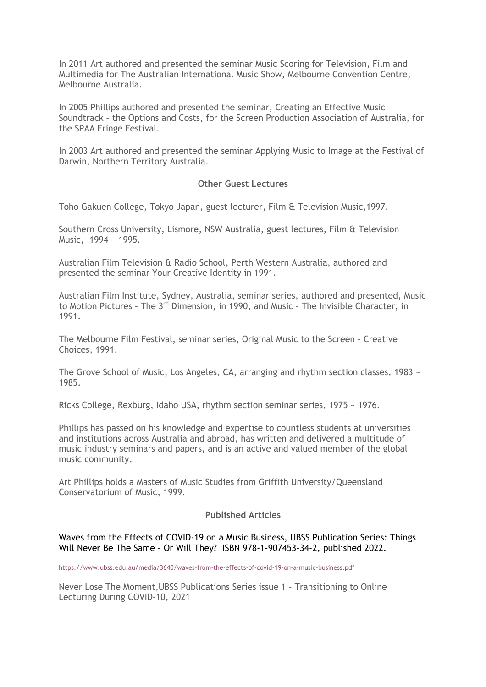In 2011 Art authored and presented the seminar Music Scoring for Television, Film and Multimedia for The Australian International Music Show, Melbourne Convention Centre, Melbourne Australia.

In 2005 Phillips authored and presented the seminar, Creating an Effective Music Soundtrack – the Options and Costs, for the Screen Production Association of Australia, for the SPAA Fringe Festival.

In 2003 Art authored and presented the seminar Applying Music to Image at the Festival of Darwin, Northern Territory Australia.

## **Other Guest Lectures**

Toho Gakuen College, Tokyo Japan, guest lecturer, Film & Television Music,1997.

Southern Cross University, Lismore, NSW Australia, guest lectures, Film & Television Music, 1994 ~ 1995.

Australian Film Television & Radio School, Perth Western Australia, authored and presented the seminar Your Creative Identity in 1991.

Australian Film Institute, Sydney, Australia, seminar series, authored and presented, Music to Motion Pictures - The 3<sup>rd</sup> Dimension, in 1990, and Music - The Invisible Character, in 1991.

The Melbourne Film Festival, seminar series, Original Music to the Screen – Creative Choices, 1991.

The Grove School of Music, Los Angeles, CA, arranging and rhythm section classes, 1983 ~ 1985.

Ricks College, Rexburg, Idaho USA, rhythm section seminar series, 1975 ~ 1976.

Phillips has passed on his knowledge and expertise to countless students at universities and institutions across Australia and abroad, has written and delivered a multitude of music industry seminars and papers, and is an active and valued member of the global music community.

Art Phillips holds a Masters of Music Studies from Griffith University/Queensland Conservatorium of Music, 1999.

# **Published Articles**

### Waves from the Effects of COVID-19 on a Music Business, UBSS Publication Series: Things Will Never Be The Same – Or Will They? ISBN 978-1-907453-34-2, published 2022.

https://www.ubss.edu.au/media/3640/waves-from-the-effects-of-covid-19-on-a-music-business.pdf

Never Lose The Moment,UBSS Publications Series issue 1 – Transitioning to Online Lecturing During COVID-10, 2021